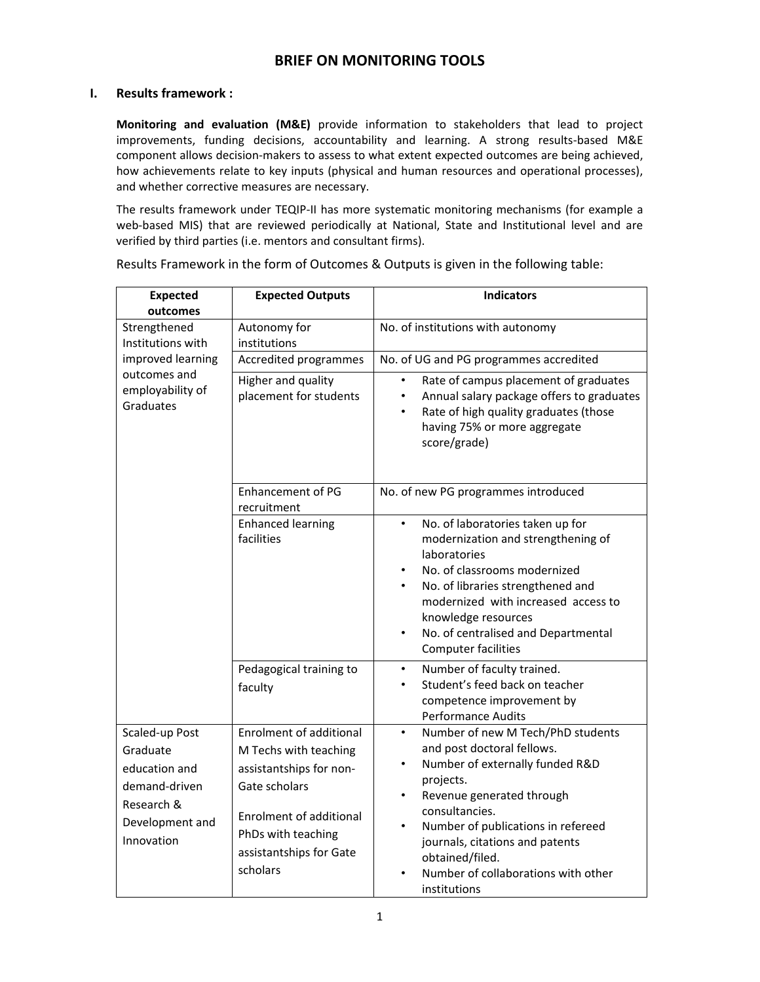# **BRIEF ON MONITORING TOOLS**

## **I. Results framework :**

**Monitoring and evaluation (M&E)** provide information to stakeholders that lead to project improvements, funding decisions, accountability and learning. A strong results-based M&E component allows decision-makers to assess to what extent expected outcomes are being achieved, how achievements relate to key inputs (physical and human resources and operational processes), and whether corrective measures are necessary.

The results framework under TEQIP‐II has more systematic monitoring mechanisms (for example a web-based MIS) that are reviewed periodically at National, State and Institutional level and are verified by third parties (i.e. mentors and consultant firms).

| <b>Expected</b><br>outcomes                                                                                 | <b>Expected Outputs</b>                                                                                                                                                                            | <b>Indicators</b>                                                                                                                                                                                                                                                                                                                                        |
|-------------------------------------------------------------------------------------------------------------|----------------------------------------------------------------------------------------------------------------------------------------------------------------------------------------------------|----------------------------------------------------------------------------------------------------------------------------------------------------------------------------------------------------------------------------------------------------------------------------------------------------------------------------------------------------------|
| Strengthened<br>Institutions with<br>improved learning<br>outcomes and<br>employability of<br>Graduates     | Autonomy for<br>institutions                                                                                                                                                                       | No. of institutions with autonomy                                                                                                                                                                                                                                                                                                                        |
|                                                                                                             | Accredited programmes                                                                                                                                                                              | No. of UG and PG programmes accredited                                                                                                                                                                                                                                                                                                                   |
|                                                                                                             | Higher and quality<br>placement for students                                                                                                                                                       | Rate of campus placement of graduates<br>Annual salary package offers to graduates<br>٠<br>Rate of high quality graduates (those<br>having 75% or more aggregate<br>score/grade)                                                                                                                                                                         |
|                                                                                                             | <b>Enhancement of PG</b><br>recruitment                                                                                                                                                            | No. of new PG programmes introduced                                                                                                                                                                                                                                                                                                                      |
|                                                                                                             | <b>Enhanced learning</b><br>facilities                                                                                                                                                             | No. of laboratories taken up for<br>$\bullet$<br>modernization and strengthening of<br>laboratories<br>No. of classrooms modernized<br>No. of libraries strengthened and<br>$\bullet$<br>modernized with increased access to<br>knowledge resources<br>No. of centralised and Departmental<br>$\bullet$<br><b>Computer facilities</b>                    |
|                                                                                                             | Pedagogical training to<br>faculty                                                                                                                                                                 | Number of faculty trained.<br>$\bullet$<br>Student's feed back on teacher<br>$\bullet$<br>competence improvement by<br>Performance Audits                                                                                                                                                                                                                |
| Scaled-up Post<br>Graduate<br>education and<br>demand-driven<br>Research &<br>Development and<br>Innovation | <b>Enrolment of additional</b><br>M Techs with teaching<br>assistantships for non-<br>Gate scholars<br><b>Enrolment of additional</b><br>PhDs with teaching<br>assistantships for Gate<br>scholars | Number of new M Tech/PhD students<br>$\bullet$<br>and post doctoral fellows.<br>Number of externally funded R&D<br>$\bullet$<br>projects.<br>Revenue generated through<br>$\bullet$<br>consultancies.<br>Number of publications in refereed<br>journals, citations and patents<br>obtained/filed.<br>Number of collaborations with other<br>institutions |

Results Framework in the form of Outcomes & Outputs is given in the following table: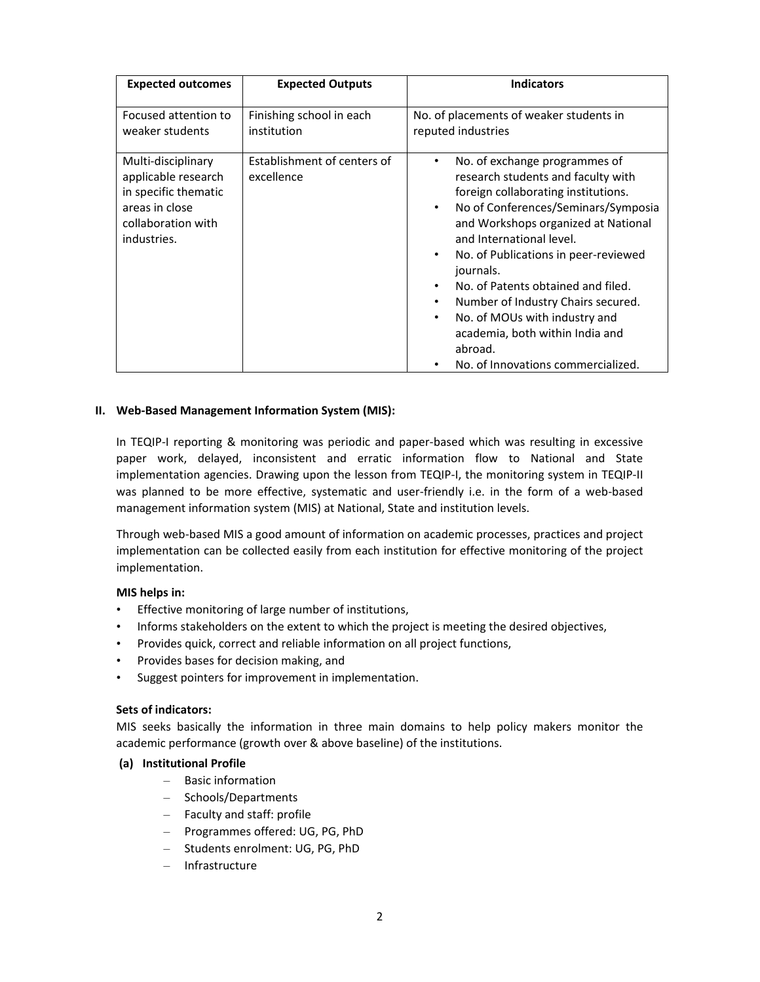| <b>Expected outcomes</b>                                                                                                 | <b>Expected Outputs</b>                   | <b>Indicators</b>                                                                                                                                                                                                                                                                                                                                                                                                                                                                                                   |
|--------------------------------------------------------------------------------------------------------------------------|-------------------------------------------|---------------------------------------------------------------------------------------------------------------------------------------------------------------------------------------------------------------------------------------------------------------------------------------------------------------------------------------------------------------------------------------------------------------------------------------------------------------------------------------------------------------------|
| Focused attention to<br>weaker students                                                                                  | Finishing school in each<br>institution   | No. of placements of weaker students in<br>reputed industries                                                                                                                                                                                                                                                                                                                                                                                                                                                       |
| Multi-disciplinary<br>applicable research<br>in specific thematic<br>areas in close<br>collaboration with<br>industries. | Establishment of centers of<br>excellence | No. of exchange programmes of<br>٠<br>research students and faculty with<br>foreign collaborating institutions.<br>No of Conferences/Seminars/Symposia<br>٠<br>and Workshops organized at National<br>and International level.<br>No. of Publications in peer-reviewed<br>$\bullet$<br>journals.<br>No. of Patents obtained and filed.<br>Number of Industry Chairs secured.<br>٠<br>No. of MOUs with industry and<br>$\bullet$<br>academia, both within India and<br>abroad.<br>No. of Innovations commercialized. |

## **II. Web‐Based Management Information System (MIS):**

In TEQIP-I reporting & monitoring was periodic and paper-based which was resulting in excessive paper work, delayed, inconsistent and erratic information flow to National and State implementation agencies. Drawing upon the lesson from TEQIP-I, the monitoring system in TEQIP-II was planned to be more effective, systematic and user-friendly i.e. in the form of a web-based management information system (MIS) at National, State and institution levels.

Through web‐based MIS a good amount of information on academic processes, practices and project implementation can be collected easily from each institution for effective monitoring of the project implementation.

# **MIS helps in:**

- Effective monitoring of large number of institutions,
- Informs stakeholders on the extent to which the project is meeting the desired objectives,
- Provides quick, correct and reliable information on all project functions,
- Provides bases for decision making, and
- Suggest pointers for improvement in implementation.

#### **Sets of indicators:**

MIS seeks basically the information in three main domains to help policy makers monitor the academic performance (growth over & above baseline) of the institutions.

#### **(a) Institutional Profile**

- Basic information
- Schools/Departments
- Faculty and staff: profile
- Programmes offered: UG, PG, PhD
- Students enrolment: UG, PG, PhD
- Infrastructure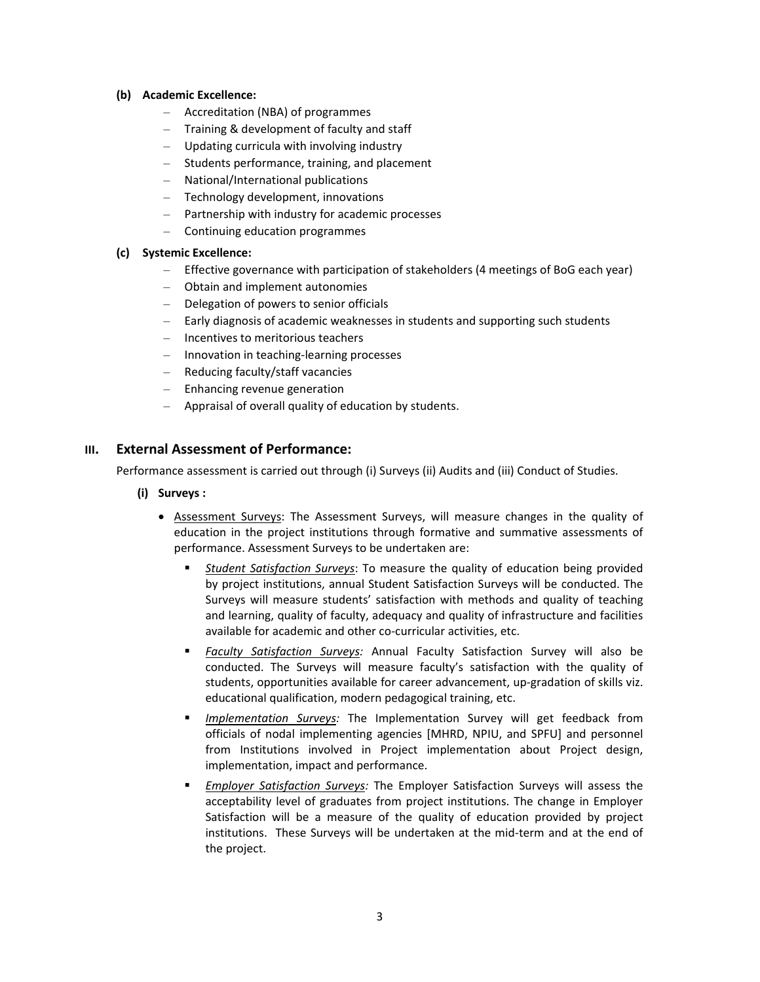## **(b) Academic Excellence:**

- Accreditation (NBA) of programmes
- Training & development of faculty and staff
- Updating curricula with involving industry
- Students performance, training, and placement
- National/International publications
- Technology development, innovations
- Partnership with industry for academic processes
- Continuing education programmes

## **(c) Systemic Excellence:**

- Effective governance with participation of stakeholders (4 meetings of BoG each year)
- Obtain and implement autonomies
- Delegation of powers to senior officials
- Early diagnosis of academic weaknesses in students and supporting such students
- Incentives to meritorious teachers
- Innovation in teaching‐learning processes
- Reducing faculty/staff vacancies
- Enhancing revenue generation
- Appraisal of overall quality of education by students.

# **III. External Assessment of Performance:**

Performance assessment is carried out through (i) Surveys (ii) Audits and (iii) Conduct of Studies.

- **(i) Surveys :** 
	- Assessment Surveys: The Assessment Surveys, will measure changes in the quality of education in the project institutions through formative and summative assessments of performance. Assessment Surveys to be undertaken are:
		- *Student Satisfaction Surveys*: To measure the quality of education being provided by project institutions, annual Student Satisfaction Surveys will be conducted. The Surveys will measure students' satisfaction with methods and quality of teaching and learning, quality of faculty, adequacy and quality of infrastructure and facilities available for academic and other co-curricular activities, etc.
		- *Faculty Satisfaction Surveys:* Annual Faculty Satisfaction Survey will also be conducted. The Surveys will measure faculty's satisfaction with the quality of students, opportunities available for career advancement, up‐gradation of skills viz. educational qualification, modern pedagogical training, etc.
		- *Implementation Surveys:* The Implementation Survey will get feedback from officials of nodal implementing agencies [MHRD, NPIU, and SPFU] and personnel from Institutions involved in Project implementation about Project design, implementation, impact and performance.
		- *Employer Satisfaction Surveys:* The Employer Satisfaction Surveys will assess the acceptability level of graduates from project institutions. The change in Employer Satisfaction will be a measure of the quality of education provided by project institutions. These Surveys will be undertaken at the mid‐term and at the end of the project.